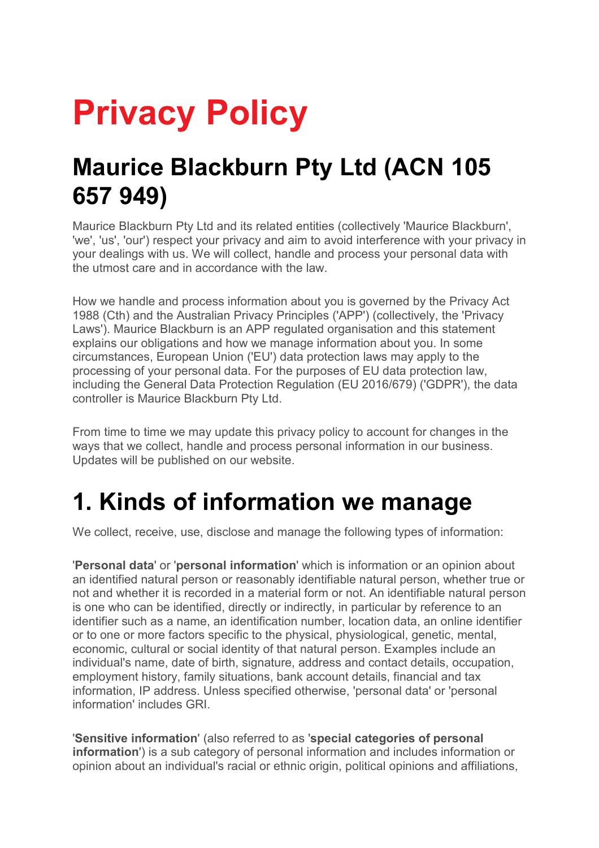# **Privacy Policy**

### **Maurice Blackburn Pty Ltd (ACN 105 657 949)**

Maurice Blackburn Pty Ltd and its related entities (collectively 'Maurice Blackburn', 'we', 'us', 'our') respect your privacy and aim to avoid interference with your privacy in your dealings with us. We will collect, handle and process your personal data with the utmost care and in accordance with the law.

How we handle and process information about you is governed by the Privacy Act 1988 (Cth) and the Australian Privacy Principles ('APP') (collectively, the 'Privacy Laws'). Maurice Blackburn is an APP regulated organisation and this statement explains our obligations and how we manage information about you. In some circumstances, European Union ('EU') data protection laws may apply to the processing of your personal data. For the purposes of EU data protection law, including the General Data Protection Regulation (EU 2016/679) ('GDPR'), the data controller is Maurice Blackburn Pty Ltd.

From time to time we may update this privacy policy to account for changes in the ways that we collect, handle and process personal information in our business. Updates will be published on our website.

### **1. Kinds of information we manage**

We collect, receive, use, disclose and manage the following types of information:

'**Personal data**' or '**personal information**' which is information or an opinion about an identified natural person or reasonably identifiable natural person, whether true or not and whether it is recorded in a material form or not. An identifiable natural person is one who can be identified, directly or indirectly, in particular by reference to an identifier such as a name, an identification number, location data, an online identifier or to one or more factors specific to the physical, physiological, genetic, mental, economic, cultural or social identity of that natural person. Examples include an individual's name, date of birth, signature, address and contact details, occupation, employment history, family situations, bank account details, financial and tax information, IP address. Unless specified otherwise, 'personal data' or 'personal information' includes GRI.

'**Sensitive information**' (also referred to as '**special categories of personal information**') is a sub category of personal information and includes information or opinion about an individual's racial or ethnic origin, political opinions and affiliations,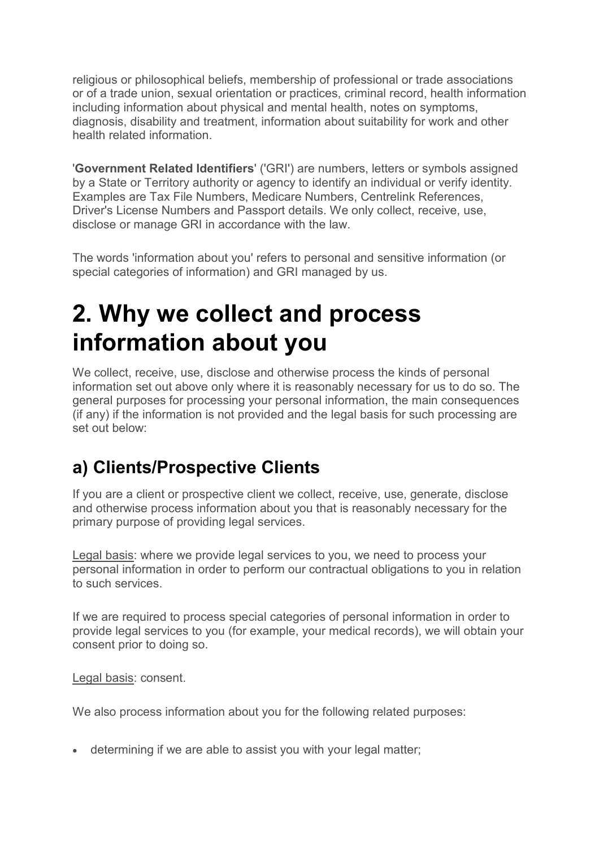religious or philosophical beliefs, membership of professional or trade associations or of a trade union, sexual orientation or practices, criminal record, health information including information about physical and mental health, notes on symptoms, diagnosis, disability and treatment, information about suitability for work and other health related information.

'**Government Related Identifiers**' ('GRI') are numbers, letters or symbols assigned by a State or Territory authority or agency to identify an individual or verify identity. Examples are Tax File Numbers, Medicare Numbers, Centrelink References, Driver's License Numbers and Passport details. We only collect, receive, use, disclose or manage GRI in accordance with the law.

The words 'information about you' refers to personal and sensitive information (or special categories of information) and GRI managed by us.

### **2. Why we collect and process information about you**

We collect, receive, use, disclose and otherwise process the kinds of personal information set out above only where it is reasonably necessary for us to do so. The general purposes for processing your personal information, the main consequences (if any) if the information is not provided and the legal basis for such processing are set out below:

#### **a) Clients/Prospective Clients**

If you are a client or prospective client we collect, receive, use, generate, disclose and otherwise process information about you that is reasonably necessary for the primary purpose of providing legal services.

Legal basis: where we provide legal services to you, we need to process your personal information in order to perform our contractual obligations to you in relation to such services.

If we are required to process special categories of personal information in order to provide legal services to you (for example, your medical records), we will obtain your consent prior to doing so.

Legal basis: consent.

We also process information about you for the following related purposes:

• determining if we are able to assist you with your legal matter;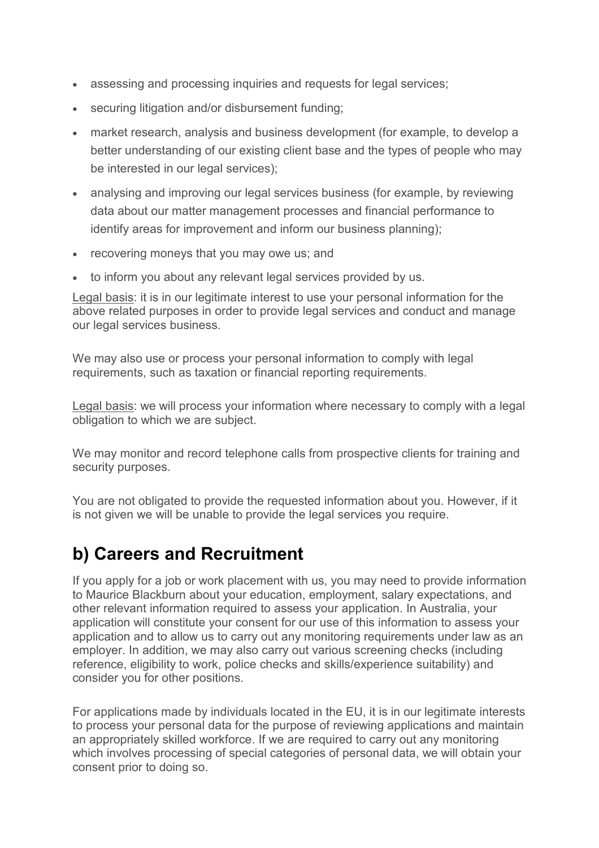- assessing and processing inquiries and requests for legal services;
- securing litigation and/or disbursement funding;
- market research, analysis and business development (for example, to develop a better understanding of our existing client base and the types of people who may be interested in our legal services);
- analysing and improving our legal services business (for example, by reviewing data about our matter management processes and financial performance to identify areas for improvement and inform our business planning);
- recovering moneys that you may owe us; and
- to inform you about any relevant legal services provided by us.

Legal basis: it is in our legitimate interest to use your personal information for the above related purposes in order to provide legal services and conduct and manage our legal services business.

We may also use or process your personal information to comply with legal requirements, such as taxation or financial reporting requirements.

Legal basis: we will process your information where necessary to comply with a legal obligation to which we are subject.

We may monitor and record telephone calls from prospective clients for training and security purposes.

You are not obligated to provide the requested information about you. However, if it is not given we will be unable to provide the legal services you require.

#### **b) Careers and Recruitment**

If you apply for a job or work placement with us, you may need to provide information to Maurice Blackburn about your education, employment, salary expectations, and other relevant information required to assess your application. In Australia, your application will constitute your consent for our use of this information to assess your application and to allow us to carry out any monitoring requirements under law as an employer. In addition, we may also carry out various screening checks (including reference, eligibility to work, police checks and skills/experience suitability) and consider you for other positions.

For applications made by individuals located in the EU, it is in our legitimate interests to process your personal data for the purpose of reviewing applications and maintain an appropriately skilled workforce. If we are required to carry out any monitoring which involves processing of special categories of personal data, we will obtain your consent prior to doing so.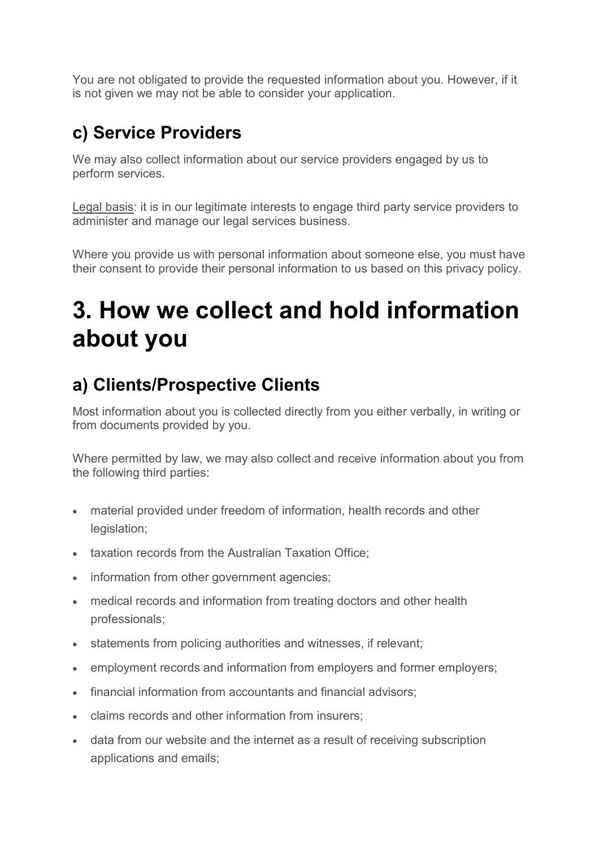You are not obligated to provide the requested information about you. However, if it is not given we may not be able to consider your application.

#### **c) Service Providers**

We may also collect information about our service providers engaged by us to perform services.

Legal basis: it is in our legitimate interests to engage third party service providers to administer and manage our legal services business.

Where you provide us with personal information about someone else, you must have their consent to provide their personal information to us based on this privacy policy.

### **3. How we collect and hold information about you**

#### **a) Clients/Prospective Clients**

Most information about you is collected directly from you either verbally, in writing or from documents provided by you.

Where permitted by law, we may also collect and receive information about you from the following third parties:

- material provided under freedom of information, health records and other legislation;
- taxation records from the Australian Taxation Office;
- information from other government agencies;
- medical records and information from treating doctors and other health professionals;
- statements from policing authorities and witnesses, if relevant;
- employment records and information from employers and former employers;
- financial information from accountants and financial advisors;
- claims records and other information from insurers;
- data from our website and the internet as a result of receiving subscription applications and emails;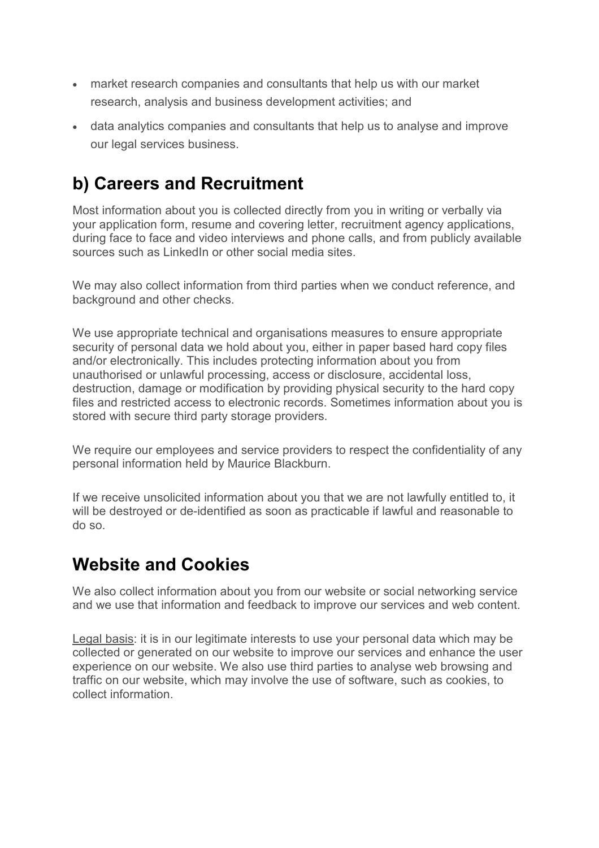- market research companies and consultants that help us with our market research, analysis and business development activities; and
- data analytics companies and consultants that help us to analyse and improve our legal services business.

#### **b) Careers and Recruitment**

Most information about you is collected directly from you in writing or verbally via your application form, resume and covering letter, recruitment agency applications, during face to face and video interviews and phone calls, and from publicly available sources such as LinkedIn or other social media sites.

We may also collect information from third parties when we conduct reference, and background and other checks.

We use appropriate technical and organisations measures to ensure appropriate security of personal data we hold about you, either in paper based hard copy files and/or electronically. This includes protecting information about you from unauthorised or unlawful processing, access or disclosure, accidental loss, destruction, damage or modification by providing physical security to the hard copy files and restricted access to electronic records. Sometimes information about you is stored with secure third party storage providers.

We require our employees and service providers to respect the confidentiality of any personal information held by Maurice Blackburn.

If we receive unsolicited information about you that we are not lawfully entitled to, it will be destroyed or de-identified as soon as practicable if lawful and reasonable to do so.

#### **Website and Cookies**

We also collect information about you from our website or social networking service and we use that information and feedback to improve our services and web content.

Legal basis: it is in our legitimate interests to use your personal data which may be collected or generated on our website to improve our services and enhance the user experience on our website. We also use third parties to analyse web browsing and traffic on our website, which may involve the use of software, such as cookies, to collect information.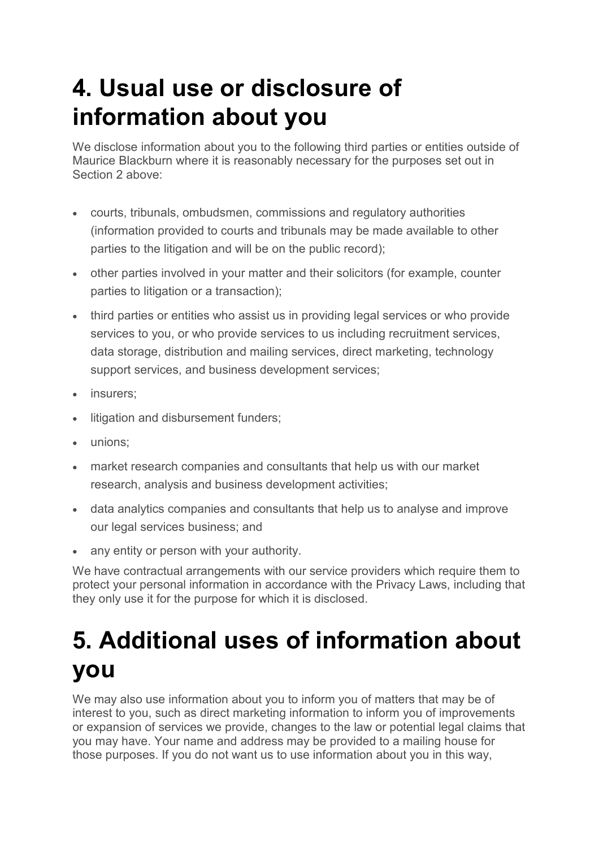### **4. Usual use or disclosure of information about you**

We disclose information about you to the following third parties or entities outside of Maurice Blackburn where it is reasonably necessary for the purposes set out in Section 2 above:

- courts, tribunals, ombudsmen, commissions and regulatory authorities (information provided to courts and tribunals may be made available to other parties to the litigation and will be on the public record);
- other parties involved in your matter and their solicitors (for example, counter parties to litigation or a transaction);
- third parties or entities who assist us in providing legal services or who provide services to you, or who provide services to us including recruitment services, data storage, distribution and mailing services, direct marketing, technology support services, and business development services;
- insurers;
- litigation and disbursement funders;
- unions;
- market research companies and consultants that help us with our market research, analysis and business development activities;
- data analytics companies and consultants that help us to analyse and improve our legal services business; and
- any entity or person with your authority.

We have contractual arrangements with our service providers which require them to protect your personal information in accordance with the Privacy Laws, including that they only use it for the purpose for which it is disclosed.

### **5. Additional uses of information about you**

We may also use information about you to inform you of matters that may be of interest to you, such as direct marketing information to inform you of improvements or expansion of services we provide, changes to the law or potential legal claims that you may have. Your name and address may be provided to a mailing house for those purposes. If you do not want us to use information about you in this way,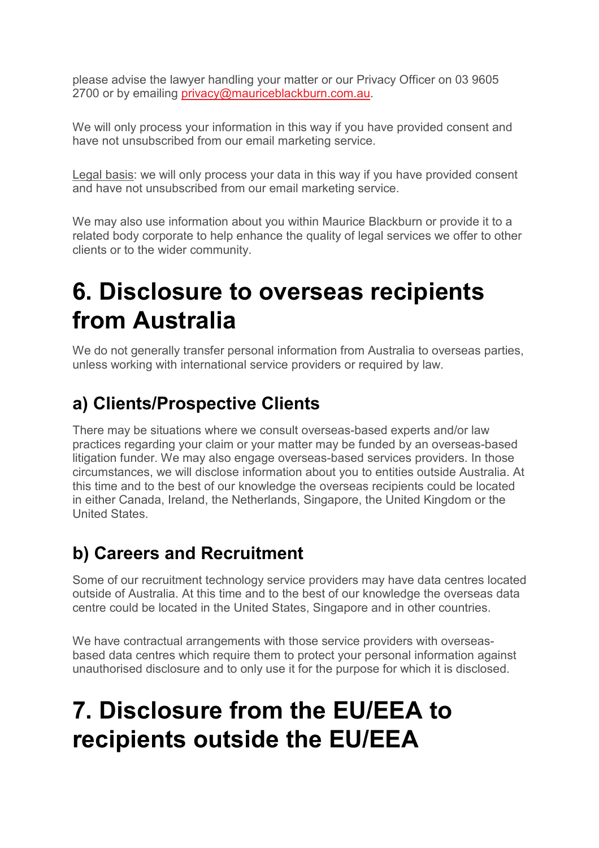please advise the lawyer handling your matter or our Privacy Officer on 03 9605 2700 or by emailing privacy@mauriceblackburn.com.au.

We will only process your information in this way if you have provided consent and have not unsubscribed from our email marketing service.

Legal basis: we will only process your data in this way if you have provided consent and have not unsubscribed from our email marketing service.

We may also use information about you within Maurice Blackburn or provide it to a related body corporate to help enhance the quality of legal services we offer to other clients or to the wider community.

### **6. Disclosure to overseas recipients from Australia**

We do not generally transfer personal information from Australia to overseas parties, unless working with international service providers or required by law.

#### **a) Clients/Prospective Clients**

There may be situations where we consult overseas-based experts and/or law practices regarding your claim or your matter may be funded by an overseas-based litigation funder. We may also engage overseas-based services providers. In those circumstances, we will disclose information about you to entities outside Australia. At this time and to the best of our knowledge the overseas recipients could be located in either Canada, Ireland, the Netherlands, Singapore, the United Kingdom or the United States.

#### **b) Careers and Recruitment**

Some of our recruitment technology service providers may have data centres located outside of Australia. At this time and to the best of our knowledge the overseas data centre could be located in the United States, Singapore and in other countries.

We have contractual arrangements with those service providers with overseasbased data centres which require them to protect your personal information against unauthorised disclosure and to only use it for the purpose for which it is disclosed.

### **7. Disclosure from the EU/EEA to recipients outside the EU/EEA**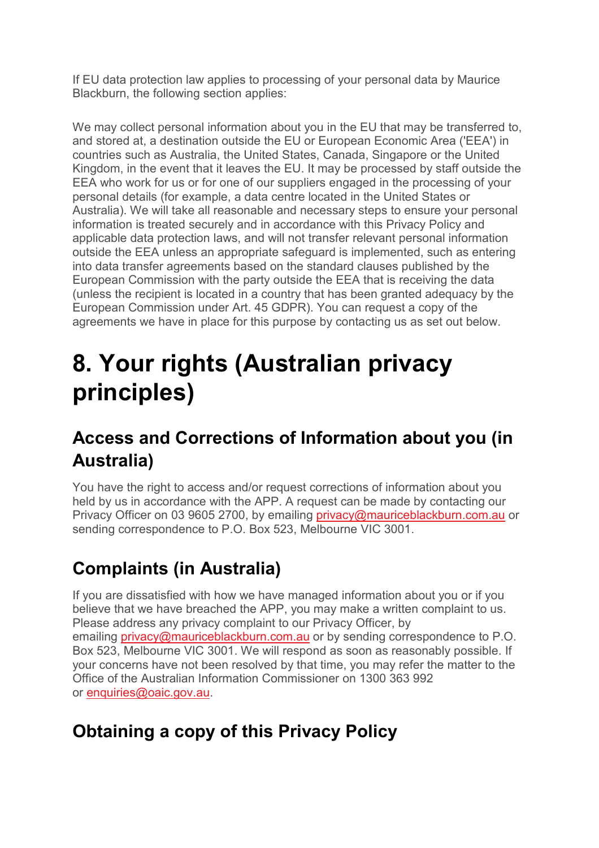If EU data protection law applies to processing of your personal data by Maurice Blackburn, the following section applies:

We may collect personal information about you in the EU that may be transferred to, and stored at, a destination outside the EU or European Economic Area ('EEA') in countries such as Australia, the United States, Canada, Singapore or the United Kingdom, in the event that it leaves the EU. It may be processed by staff outside the EEA who work for us or for one of our suppliers engaged in the processing of your personal details (for example, a data centre located in the United States or Australia). We will take all reasonable and necessary steps to ensure your personal information is treated securely and in accordance with this Privacy Policy and applicable data protection laws, and will not transfer relevant personal information outside the EEA unless an appropriate safeguard is implemented, such as entering into data transfer agreements based on the standard clauses published by the European Commission with the party outside the EEA that is receiving the data (unless the recipient is located in a country that has been granted adequacy by the European Commission under Art. 45 GDPR). You can request a copy of the agreements we have in place for this purpose by contacting us as set out below.

### **8. Your rights (Australian privacy principles)**

#### **Access and Corrections of Information about you (in Australia)**

You have the right to access and/or request corrections of information about you held by us in accordance with the APP. A request can be made by contacting our Privacy Officer on 03 9605 2700, by emailing privacy@mauriceblackburn.com.au or sending correspondence to P.O. Box 523, Melbourne VIC 3001.

#### **Complaints (in Australia)**

If you are dissatisfied with how we have managed information about you or if you believe that we have breached the APP, you may make a written complaint to us. Please address any privacy complaint to our Privacy Officer, by emailing privacy@mauriceblackburn.com.au or by sending correspondence to P.O. Box 523, Melbourne VIC 3001. We will respond as soon as reasonably possible. If your concerns have not been resolved by that time, you may refer the matter to the Office of the Australian Information Commissioner on 1300 363 992 or enquiries@oaic.gov.au.

#### **Obtaining a copy of this Privacy Policy**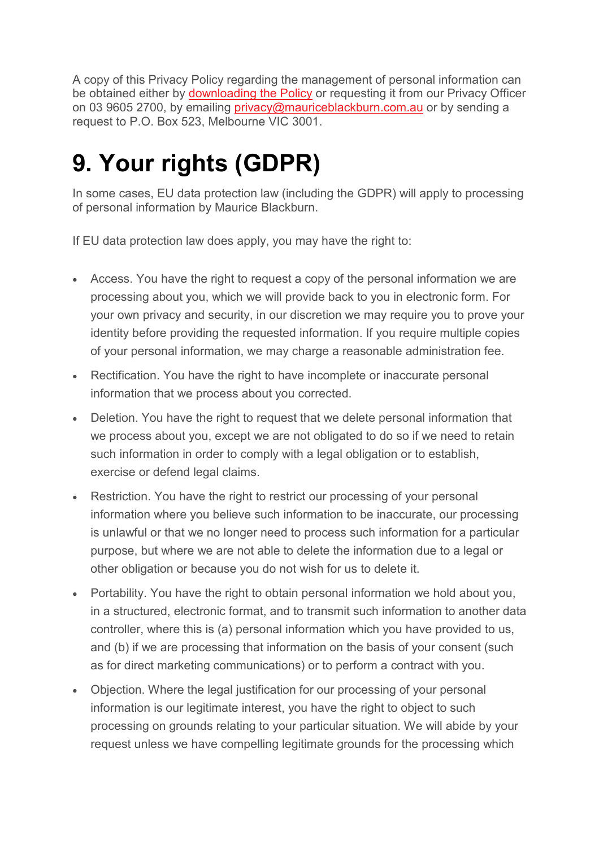A copy of this Privacy Policy regarding the management of personal information can be obtained either by downloading the Policy or requesting it from our Privacy Officer on 03 9605 2700, by emailing privacy@mauriceblackburn.com.au or by sending a request to P.O. Box 523, Melbourne VIC 3001.

### **9. Your rights (GDPR)**

In some cases, EU data protection law (including the GDPR) will apply to processing of personal information by Maurice Blackburn.

If EU data protection law does apply, you may have the right to:

- Access. You have the right to request a copy of the personal information we are processing about you, which we will provide back to you in electronic form. For your own privacy and security, in our discretion we may require you to prove your identity before providing the requested information. If you require multiple copies of your personal information, we may charge a reasonable administration fee.
- Rectification. You have the right to have incomplete or inaccurate personal information that we process about you corrected.
- Deletion. You have the right to request that we delete personal information that we process about you, except we are not obligated to do so if we need to retain such information in order to comply with a legal obligation or to establish, exercise or defend legal claims.
- Restriction. You have the right to restrict our processing of your personal information where you believe such information to be inaccurate, our processing is unlawful or that we no longer need to process such information for a particular purpose, but where we are not able to delete the information due to a legal or other obligation or because you do not wish for us to delete it.
- Portability. You have the right to obtain personal information we hold about you, in a structured, electronic format, and to transmit such information to another data controller, where this is (a) personal information which you have provided to us, and (b) if we are processing that information on the basis of your consent (such as for direct marketing communications) or to perform a contract with you.
- Objection. Where the legal justification for our processing of your personal information is our legitimate interest, you have the right to object to such processing on grounds relating to your particular situation. We will abide by your request unless we have compelling legitimate grounds for the processing which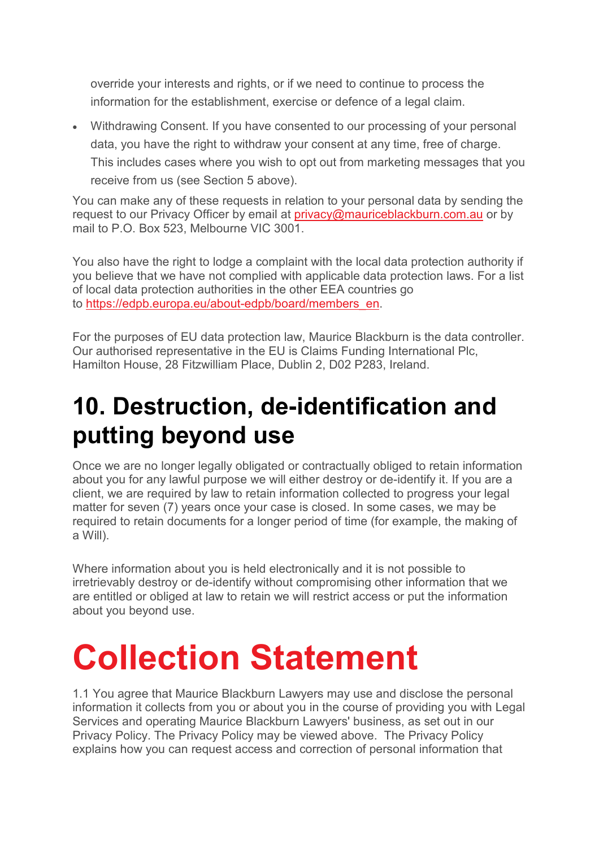override your interests and rights, or if we need to continue to process the information for the establishment, exercise or defence of a legal claim.

• Withdrawing Consent. If you have consented to our processing of your personal data, you have the right to withdraw your consent at any time, free of charge. This includes cases where you wish to opt out from marketing messages that you receive from us (see Section 5 above).

You can make any of these requests in relation to your personal data by sending the request to our Privacy Officer by email at privacy@mauriceblackburn.com.au or by mail to P.O. Box 523, Melbourne VIC 3001.

You also have the right to lodge a complaint with the local data protection authority if you believe that we have not complied with applicable data protection laws. For a list of local data protection authorities in the other EEA countries go to https://edpb.europa.eu/about-edpb/board/members\_en.

For the purposes of EU data protection law, Maurice Blackburn is the data controller. Our authorised representative in the EU is Claims Funding International Plc, Hamilton House, 28 Fitzwilliam Place, Dublin 2, D02 P283, Ireland.

### **10. Destruction, de-identification and putting beyond use**

Once we are no longer legally obligated or contractually obliged to retain information about you for any lawful purpose we will either destroy or de-identify it. If you are a client, we are required by law to retain information collected to progress your legal matter for seven (7) years once your case is closed. In some cases, we may be required to retain documents for a longer period of time (for example, the making of a Will).

Where information about you is held electronically and it is not possible to irretrievably destroy or de-identify without compromising other information that we are entitled or obliged at law to retain we will restrict access or put the information about you beyond use.

## **Collection Statement**

1.1 You agree that Maurice Blackburn Lawyers may use and disclose the personal information it collects from you or about you in the course of providing you with Legal Services and operating Maurice Blackburn Lawyers' business, as set out in our Privacy Policy. The Privacy Policy may be viewed above. The Privacy Policy explains how you can request access and correction of personal information that